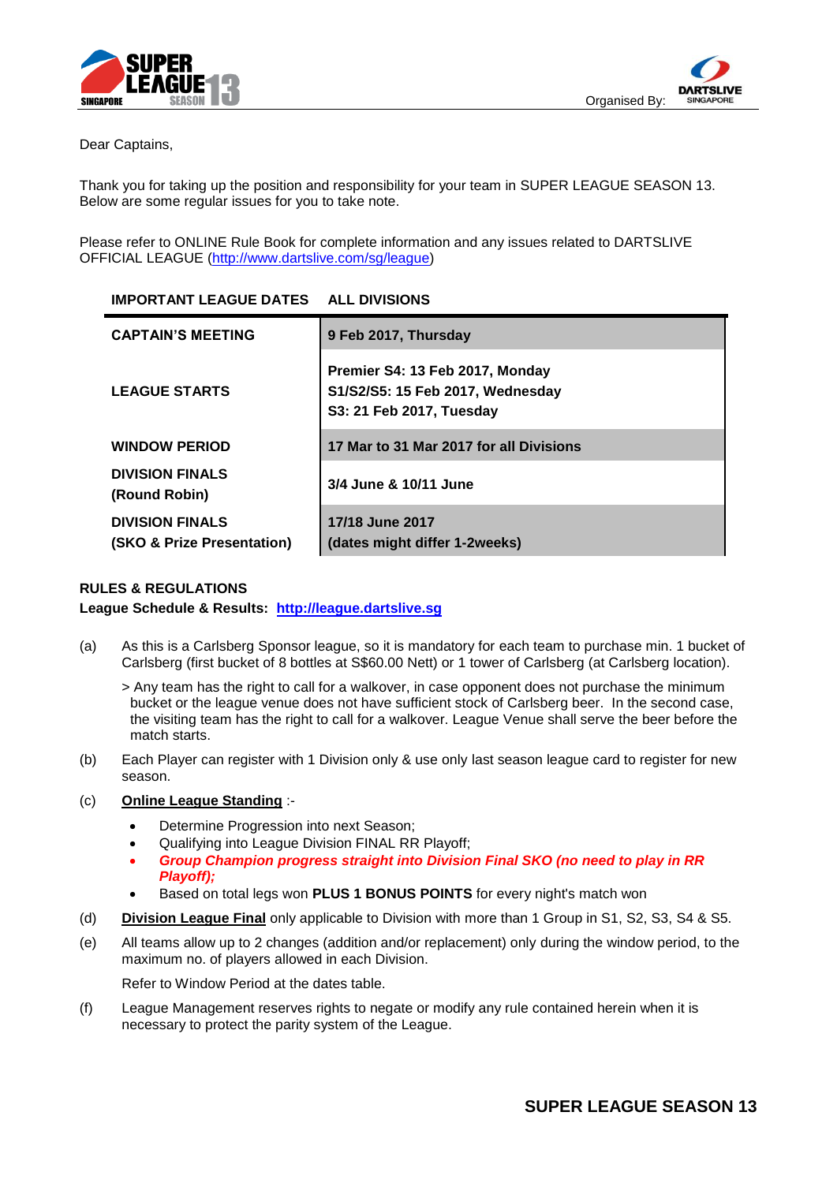



Dear Captains,

Thank you for taking up the position and responsibility for your team in SUPER LEAGUE SEASON 13. Below are some regular issues for you to take note.

Please refer to ONLINE Rule Book for complete information and any issues related to DARTSLIVE OFFICIAL LEAGUE [\(http://www.dartslive.com/sg/league\)](http://www.dartslive.com/sg/league)

| <b>IMPORTANT LEAGUE DATES ALL DIVISIONS</b>                     |                                                                                                 |
|-----------------------------------------------------------------|-------------------------------------------------------------------------------------------------|
| <b>CAPTAIN'S MEETING</b>                                        | 9 Feb 2017, Thursday                                                                            |
| <b>LEAGUE STARTS</b>                                            | Premier S4: 13 Feb 2017, Monday<br>S1/S2/S5: 15 Feb 2017, Wednesday<br>S3: 21 Feb 2017, Tuesday |
| <b>WINDOW PERIOD</b>                                            | 17 Mar to 31 Mar 2017 for all Divisions                                                         |
| <b>DIVISION FINALS</b><br>(Round Robin)                         | 3/4 June & 10/11 June                                                                           |
| <b>DIVISION FINALS</b><br><b>(SKO &amp; Prize Presentation)</b> | 17/18 June 2017<br>(dates might differ 1-2weeks)                                                |

# **RULES & REGULATIONS**

**League Schedule & Results: [http://league.dartslive.sg](http://league.dartslive.sg/)**

(a) As this is a Carlsberg Sponsor league, so it is mandatory for each team to purchase min. 1 bucket of Carlsberg (first bucket of 8 bottles at S\$60.00 Nett) or 1 tower of Carlsberg (at Carlsberg location).

> Any team has the right to call for a walkover, in case opponent does not purchase the minimum bucket or the league venue does not have sufficient stock of Carlsberg beer. In the second case, the visiting team has the right to call for a walkover. League Venue shall serve the beer before the match starts.

(b) Each Player can register with 1 Division only & use only last season league card to register for new season.

#### (c) **Online League Standing** :-

- Determine Progression into next Season;
- Qualifying into League Division FINAL RR Playoff;
- *Group Champion progress straight into Division Final SKO (no need to play in RR Playoff);*
- Based on total legs won **PLUS 1 BONUS POINTS** for every night's match won
- (d) **Division League Final** only applicable to Division with more than 1 Group in S1, S2, S3, S4 & S5.
- (e) All teams allow up to 2 changes (addition and/or replacement) only during the window period, to the maximum no. of players allowed in each Division.

Refer to Window Period at the dates table.

(f) League Management reserves rights to negate or modify any rule contained herein when it is necessary to protect the parity system of the League.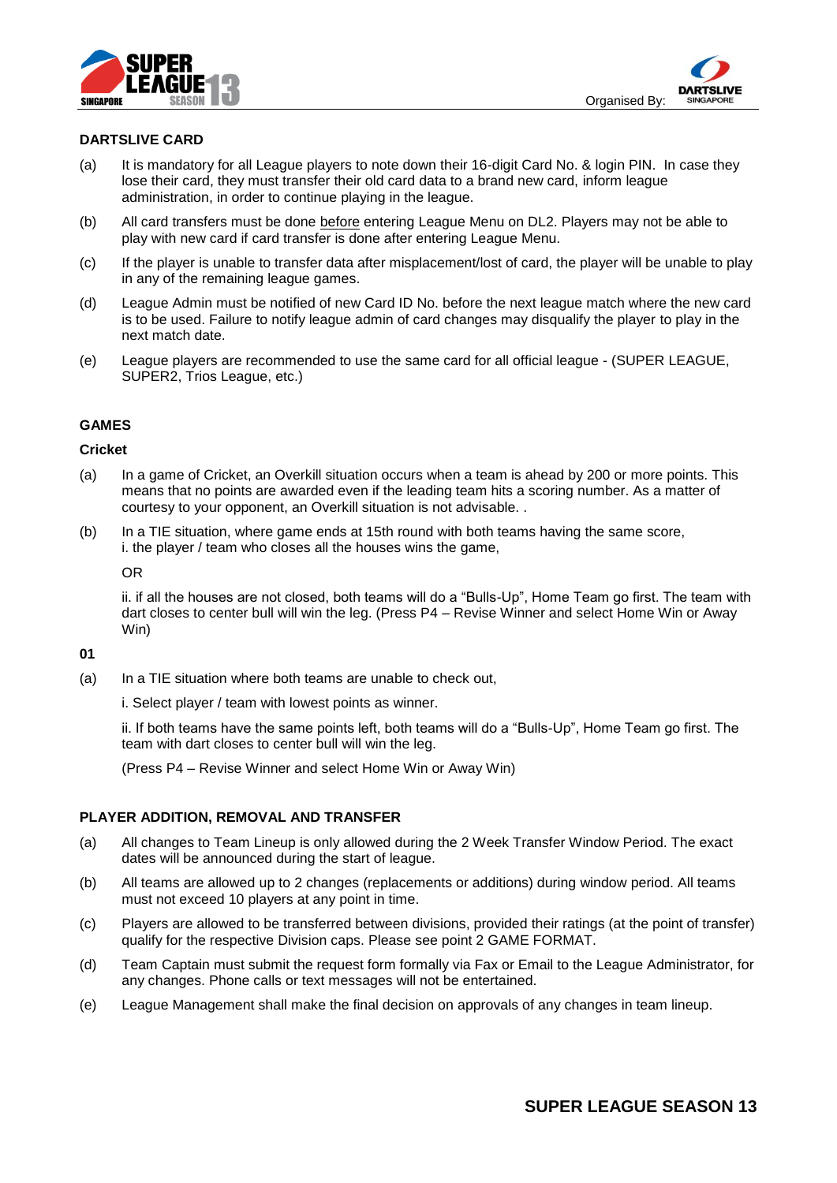



### **DARTSLIVE CARD**

- (a) It is mandatory for all League players to note down their 16-digit Card No. & login PIN. In case they lose their card, they must transfer their old card data to a brand new card, inform league administration, in order to continue playing in the league.
- (b) All card transfers must be done before entering League Menu on DL2. Players may not be able to play with new card if card transfer is done after entering League Menu.
- (c) If the player is unable to transfer data after misplacement/lost of card, the player will be unable to play in any of the remaining league games.
- (d) League Admin must be notified of new Card ID No. before the next league match where the new card is to be used. Failure to notify league admin of card changes may disqualify the player to play in the next match date.
- (e) League players are recommended to use the same card for all official league (SUPER LEAGUE, SUPER2, Trios League, etc.)

### **GAMES**

#### **Cricket**

- (a) In a game of Cricket, an Overkill situation occurs when a team is ahead by 200 or more points. This means that no points are awarded even if the leading team hits a scoring number. As a matter of courtesy to your opponent, an Overkill situation is not advisable. .
- (b) In a TIE situation, where game ends at 15th round with both teams having the same score, i. the player / team who closes all the houses wins the game,

#### OR

ii. if all the houses are not closed, both teams will do a "Bulls-Up", Home Team go first. The team with dart closes to center bull will win the leg. (Press P4 – Revise Winner and select Home Win or Away Win)

### **01**

(a) In a TIE situation where both teams are unable to check out,

i. Select player / team with lowest points as winner.

ii. If both teams have the same points left, both teams will do a "Bulls-Up", Home Team go first. The team with dart closes to center bull will win the leg.

(Press P4 – Revise Winner and select Home Win or Away Win)

#### **PLAYER ADDITION, REMOVAL AND TRANSFER**

- (a) All changes to Team Lineup is only allowed during the 2 Week Transfer Window Period. The exact dates will be announced during the start of league.
- (b) All teams are allowed up to 2 changes (replacements or additions) during window period. All teams must not exceed 10 players at any point in time.
- (c) Players are allowed to be transferred between divisions, provided their ratings (at the point of transfer) qualify for the respective Division caps. Please see point 2 GAME FORMAT.
- (d) Team Captain must submit the request form formally via Fax or Email to the League Administrator, for any changes. Phone calls or text messages will not be entertained.
- (e) League Management shall make the final decision on approvals of any changes in team lineup.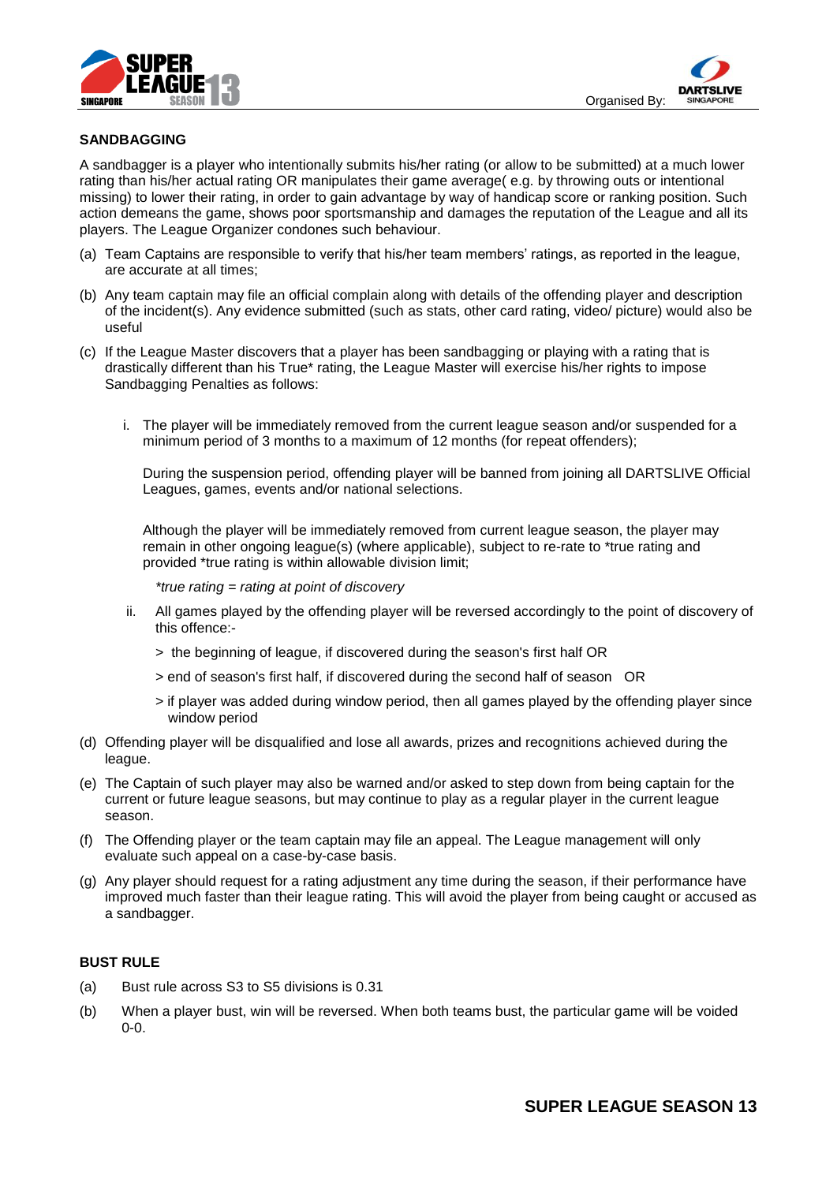



# **SANDBAGGING**

A sandbagger is a player who intentionally submits his/her rating (or allow to be submitted) at a much lower rating than his/her actual rating OR manipulates their game average( e.g. by throwing outs or intentional missing) to lower their rating, in order to gain advantage by way of handicap score or ranking position. Such action demeans the game, shows poor sportsmanship and damages the reputation of the League and all its players. The League Organizer condones such behaviour.

- (a) Team Captains are responsible to verify that his/her team members' ratings, as reported in the league, are accurate at all times;
- (b) Any team captain may file an official complain along with details of the offending player and description of the incident(s). Any evidence submitted (such as stats, other card rating, video/ picture) would also be useful
- (c) If the League Master discovers that a player has been sandbagging or playing with a rating that is drastically different than his True\* rating, the League Master will exercise his/her rights to impose Sandbagging Penalties as follows:
	- i. The player will be immediately removed from the current league season and/or suspended for a minimum period of 3 months to a maximum of 12 months (for repeat offenders);

During the suspension period, offending player will be banned from joining all DARTSLIVE Official Leagues, games, events and/or national selections.

Although the player will be immediately removed from current league season, the player may remain in other ongoing league(s) (where applicable), subject to re-rate to \*true rating and provided \*true rating is within allowable division limit;

*\*true rating = rating at point of discovery*

- ii. All games played by the offending player will be reversed accordingly to the point of discovery of this offence:-
	- > the beginning of league, if discovered during the season's first half OR
	- > end of season's first half, if discovered during the second half of season OR
	- > if player was added during window period, then all games played by the offending player since window period
- (d) Offending player will be disqualified and lose all awards, prizes and recognitions achieved during the league.
- (e) The Captain of such player may also be warned and/or asked to step down from being captain for the current or future league seasons, but may continue to play as a regular player in the current league season.
- (f) The Offending player or the team captain may file an appeal. The League management will only evaluate such appeal on a case-by-case basis.
- (g) Any player should request for a rating adjustment any time during the season, if their performance have improved much faster than their league rating. This will avoid the player from being caught or accused as a sandbagger.

#### **BUST RULE**

- (a) Bust rule across S3 to S5 divisions is 0.31
- (b) When a player bust, win will be reversed. When both teams bust, the particular game will be voided 0-0.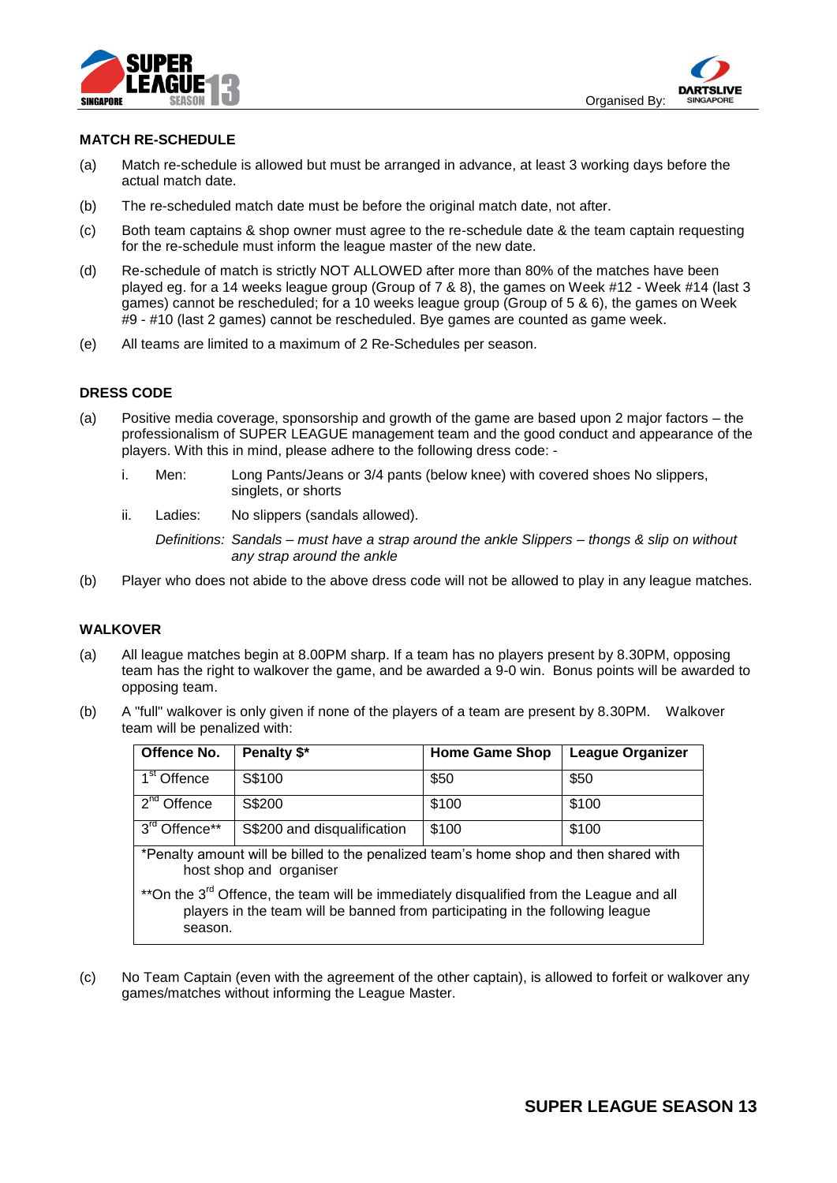



# **MATCH RE-SCHEDULE**

- (a) Match re-schedule is allowed but must be arranged in advance, at least 3 working days before the actual match date.
- (b) The re-scheduled match date must be before the original match date, not after.
- (c) Both team captains & shop owner must agree to the re-schedule date & the team captain requesting for the re-schedule must inform the league master of the new date.
- (d) Re-schedule of match is strictly NOT ALLOWED after more than 80% of the matches have been played eg. for a 14 weeks league group (Group of 7 & 8), the games on Week #12 - Week #14 (last 3 games) cannot be rescheduled; for a 10 weeks league group (Group of 5 & 6), the games on Week #9 - #10 (last 2 games) cannot be rescheduled. Bye games are counted as game week.
- (e) All teams are limited to a maximum of 2 Re-Schedules per season.

# **DRESS CODE**

- (a) Positive media coverage, sponsorship and growth of the game are based upon 2 major factors the professionalism of SUPER LEAGUE management team and the good conduct and appearance of the players. With this in mind, please adhere to the following dress code:
	- i. Men: Long Pants/Jeans or 3/4 pants (below knee) with covered shoes No slippers, singlets, or shorts
	- ii. Ladies: No slippers (sandals allowed).

*Definitions: Sandals – must have a strap around the ankle Slippers – thongs & slip on without any strap around the ankle* 

(b) Player who does not abide to the above dress code will not be allowed to play in any league matches.

# **WALKOVER**

- (a) All league matches begin at 8.00PM sharp. If a team has no players present by 8.30PM, opposing team has the right to walkover the game, and be awarded a 9-0 win. Bonus points will be awarded to opposing team.
- (b) A "full" walkover is only given if none of the players of a team are present by 8.30PM. Walkover team will be penalized with:

| Offence No.                                                                                                                                                                                     | Penalty \$*                 | <b>Home Game Shop</b> | <b>League Organizer</b> |  |
|-------------------------------------------------------------------------------------------------------------------------------------------------------------------------------------------------|-----------------------------|-----------------------|-------------------------|--|
| $1st$ Offence                                                                                                                                                                                   | S\$100                      | \$50                  | \$50                    |  |
| $2nd$ Offence                                                                                                                                                                                   | S\$200                      | \$100                 | \$100                   |  |
| 3 <sup>rd</sup> Offence**                                                                                                                                                                       | S\$200 and disqualification | \$100                 | \$100                   |  |
| *Penalty amount will be billed to the penalized team's home shop and then shared with<br>host shop and organiser                                                                                |                             |                       |                         |  |
| **On the 3 <sup>rd</sup> Offence, the team will be immediately disqualified from the League and all<br>players in the team will be banned from participating in the following league<br>season. |                             |                       |                         |  |

(c) No Team Captain (even with the agreement of the other captain), is allowed to forfeit or walkover any games/matches without informing the League Master.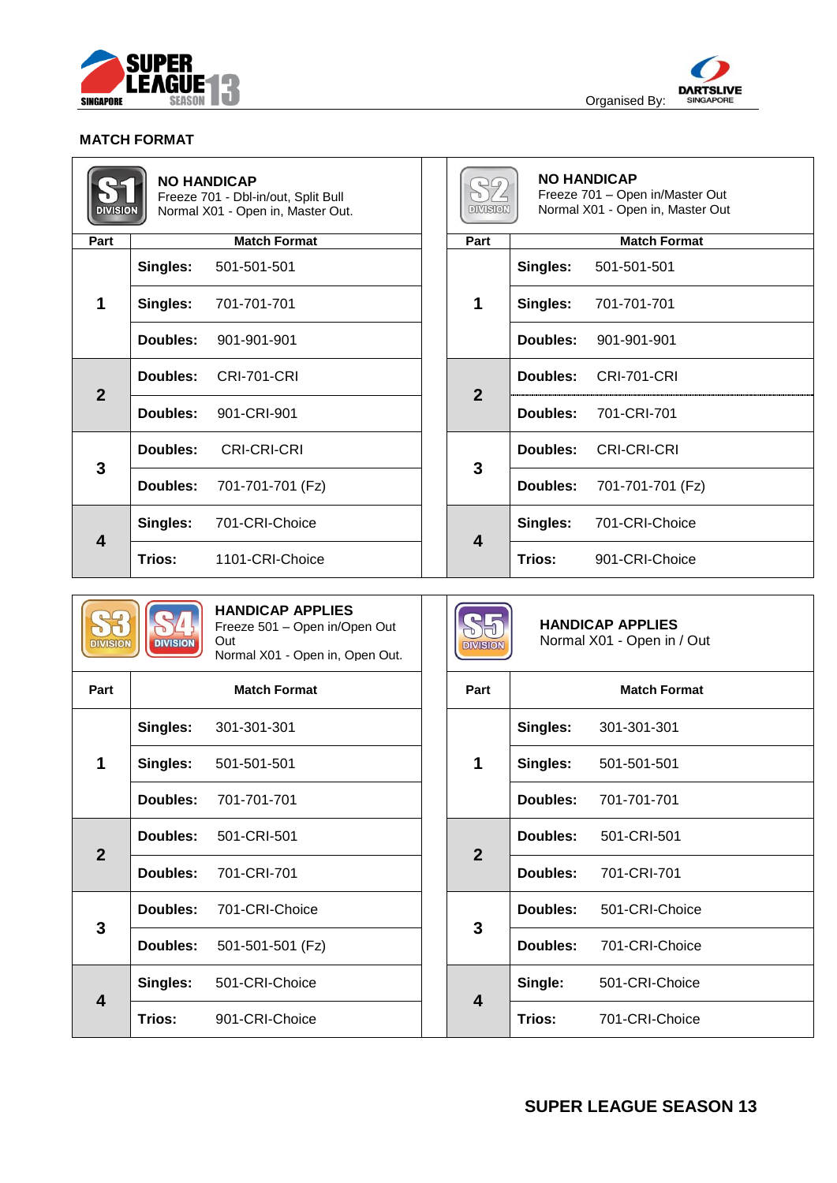



# **MATCH FORMAT**

| <b>DIVISION</b>         | <b>NO HANDICAP</b><br>Freeze 701 - Dbl-in/out, Split Bull<br>Normal X01 - Open in, Master Out. | <b>DIVISION</b>         | <b>NO HANDICAP</b><br>Freeze 701 - Open in/Master Out<br>Normal X01 - Open in, Master Out |
|-------------------------|------------------------------------------------------------------------------------------------|-------------------------|-------------------------------------------------------------------------------------------|
| Part                    | <b>Match Format</b>                                                                            | Part                    | <b>Match Format</b>                                                                       |
|                         | Singles:<br>501-501-501                                                                        | 1                       | Singles:<br>501-501-501                                                                   |
| $\mathbf 1$             | Singles:<br>701-701-701                                                                        |                         | Singles:<br>701-701-701                                                                   |
|                         | Doubles:<br>901-901-901                                                                        |                         | Doubles:<br>901-901-901                                                                   |
| $\overline{2}$          | Doubles:<br><b>CRI-701-CRI</b>                                                                 | $\overline{2}$          | Doubles:<br><b>CRI-701-CRI</b>                                                            |
|                         | Doubles:<br>901-CRI-901                                                                        |                         | 701-CRI-701<br>Doubles:                                                                   |
| 3                       | <b>CRI-CRI-CRI</b><br>Doubles:                                                                 | $\mathbf{3}$            | <b>CRI-CRI-CRI</b><br>Doubles:                                                            |
|                         | Doubles:<br>701-701-701 (Fz)                                                                   |                         | 701-701-701 (Fz)<br>Doubles:                                                              |
| $\overline{\mathbf{4}}$ | 701-CRI-Choice<br>Singles:                                                                     | $\overline{\mathbf{4}}$ | 701-CRI-Choice<br>Singles:                                                                |
|                         | Trios:<br>1101-CRI-Choice                                                                      |                         | Trios:<br>901-CRI-Choice                                                                  |

| <b>DIVISION</b> | <b>IVISION</b> |
|-----------------|----------------|
|-----------------|----------------|

#### **HANDICAP APPLIES** Freeze 501 – Open in/Open Out Out Normal X01 - Open in, Open Out.

| Part                    |          | <b>Match Format</b>         |  | Part           |          | <b>Match Format</b> |
|-------------------------|----------|-----------------------------|--|----------------|----------|---------------------|
|                         | Singles: | 301-301-301                 |  | 1              | Singles: | 301-301-301         |
| 1                       | Singles: | 501-501-501                 |  |                | Singles: | 501-501-501         |
|                         | Doubles: | 701-701-701                 |  |                | Doubles: | 701-701-701         |
| $\overline{2}$          |          | <b>Doubles: 501-CRI-501</b> |  | $\overline{2}$ | Doubles: | 501-CRI-501         |
|                         | Doubles: | 701-CRI-701                 |  |                | Doubles: | 701-CRI-701         |
| 3                       | Doubles: | 701-CRI-Choice              |  | 3              | Doubles: | 501-CRI-Choice      |
|                         | Doubles: | 501-501-501 (Fz)            |  |                | Doubles: | 701-CRI-Choice      |
|                         | Singles: | 501-CRI-Choice              |  | 4              | Single:  | 501-CRI-Choice      |
| $\overline{\mathbf{4}}$ | Trios:   | 901-CRI-Choice              |  |                | Trios:   | 701-CRI-Choice      |

| <b>HANDICAP APPLIES</b><br>Normal X01 - Open in / Out<br><b>DIVISION</b> |                     |                                |  |
|--------------------------------------------------------------------------|---------------------|--------------------------------|--|
| Part                                                                     | <b>Match Format</b> |                                |  |
| 1                                                                        | Singles:            | 301-301-301                    |  |
|                                                                          |                     | Singles: 501-501-501           |  |
|                                                                          |                     | <b>Doubles: 701-701-701</b>    |  |
| $\overline{2}$                                                           |                     | <b>Doubles:</b> 501-CRI-501    |  |
|                                                                          |                     | <b>Doubles: 701-CRI-701</b>    |  |
| 3                                                                        |                     | <b>Doubles:</b> 501-CRI-Choice |  |
|                                                                          |                     | Doubles: 701-CRI-Choice        |  |
| 4                                                                        | Single:             | 501-CRI-Choice                 |  |
|                                                                          |                     | Trios: 701-CRI-Choice          |  |